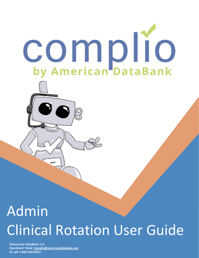

# Admin Clinical Rotation User Guide

**Questions? Email [Complio@americandatabank.com](mailto:Complio@americandatabank.com) Questions? Email [Complio@americandatabank.com](mailto:Complio@americandatabank.com)  ©American DataBank LLC. Or call 1-800-200-0853**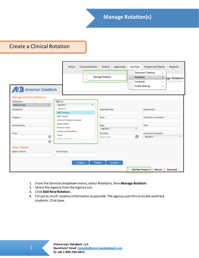Create a Clinical Rotation

| <b>American DataBank</b>                          | Communication<br><b>Setup</b>          | <b>Approvals</b><br><b>Orders</b><br><b>Manage Rotation</b> | <b>Services</b><br><b>Rotations</b><br>Contracts | <b>People and Places</b><br><b>Reports</b><br><b>Document Tracking</b><br>Þ<br>۲<br>age Rotations<br><b>Manage Rotations</b><br>b.<br><b>Profile Sharing</b><br>Þ |
|---------------------------------------------------|----------------------------------------|-------------------------------------------------------------|--------------------------------------------------|-------------------------------------------------------------------------------------------------------------------------------------------------------------------|
| <b>Manage Existing Rotations</b>                  |                                        |                                                             |                                                  |                                                                                                                                                                   |
| Institution:                                      | Agency:*                               |                                                             |                                                  |                                                                                                                                                                   |
| <b>ADB University</b><br>$\overline{\phantom{a}}$ | --SELECT-<br>÷                         |                                                             |                                                  |                                                                                                                                                                   |
| Complio ID:                                       | $-$ SELECT $-$                         | Type/Specialty:                                             |                                                  | Department:                                                                                                                                                       |
|                                                   | <b>ABC Company</b>                     |                                                             |                                                  |                                                                                                                                                                   |
| Program:                                          | <b>ADB Hospital</b>                    | Term:                                                       |                                                  | Unit/Floor or Location:                                                                                                                                           |
|                                                   | American DataBank Hospital             |                                                             |                                                  |                                                                                                                                                                   |
| # of Students:                                    | <b>Baptist Health</b>                  | Days:                                                       |                                                  | Shift:                                                                                                                                                            |
|                                                   | <b>Broward Health</b>                  | -- SELECT-                                                  | $\overline{\mathbf v}$                           |                                                                                                                                                                   |
| Time:                                             | California Rehabilitation              | <b>End Date:</b>                                            |                                                  | Instructor/Preceptor:                                                                                                                                             |
| $\odot$                                           | Centra<br><b>Philalenale</b> Llangliel | Select a date                                               | 龠                                                | --SELECT-<br>$\overline{\phantom{a}}$                                                                                                                             |
| $\odot$                                           |                                        |                                                             |                                                  |                                                                                                                                                                   |
| <b>Other Details</b><br><b>Agency Status:</b>     | '# of Groups:                          |                                                             |                                                  |                                                                                                                                                                   |
|                                                   |                                        |                                                             |                                                  |                                                                                                                                                                   |
|                                                   | Q Search                               | <b>D</b> Reset<br>Cancel                                    |                                                  |                                                                                                                                                                   |
|                                                   |                                        |                                                             | + Add New Rotation                               | Refresh <b>Cownload</b>                                                                                                                                           |

- 1. From the Services dropdown menu, select *Rotations*, then **Manage Rotation**.
- 2. Select the *Agency* from the Agency List.
- 3. Click **Add New Rotation.**
- 4. Fill out as much rotation information as possible. The agency uses this to locate and track students. Click Save.

1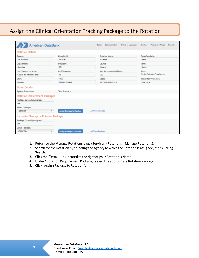## Assign the Clinical Orientation Tracking Package to the Rotation

| <b>American DataBank</b>                     |                                   | Communication Orders Approvals Services<br>Setup | People and Places<br>Reports        |
|----------------------------------------------|-----------------------------------|--------------------------------------------------|-------------------------------------|
| <b>Rotation Details</b>                      |                                   |                                                  |                                     |
| Agency:                                      | Complio ID:                       | <b>Rotation Name:</b>                            | Type/Specialty:                     |
| <b>ABC Company</b>                           | RT-40-40                          | RT-33-55                                         | Heart                               |
| Department:                                  | Program:                          | Course:                                          | Term:                               |
| Cardiology                                   | <b>BSN</b>                        | Nursing                                          | Spring                              |
| Unit/Floor or Location:                      | # of Students:                    | # of Recommended Hours:                          | Days:                               |
| Cardiac and Vascular Center                  | 10                                | 200                                              | Monday, Wednesday, Friday, Saturday |
| Shift:                                       | Time:                             | Dates:                                           | Instructor/Preceptor:               |
| Morning                                      | 3:00AM-10:30AM                    | 07/27/2016-10/03/2016                            | Chief Nurse                         |
| <b>Other Details</b>                         |                                   |                                                  |                                     |
| <b>Agency Status: Active</b>                 | '# of Groups: 1                   |                                                  |                                     |
| <b>Rotation Requirement Packages</b>         |                                   |                                                  |                                     |
| Package Currently Assigned:                  |                                   |                                                  |                                     |
| <b>N/A</b>                                   |                                   |                                                  |                                     |
| Select Package:*                             |                                   |                                                  |                                     |
| -SELECT-<br>$\overline{\mathbf v}$           | <b>Assign Package to Rotation</b> | Add New Package                                  |                                     |
| <b>Instructor/Preceptor Rotation Package</b> |                                   |                                                  |                                     |
| Package Currently Assigned:                  |                                   |                                                  |                                     |
| <b>N/A</b>                                   |                                   |                                                  |                                     |
| Select Package:*                             |                                   |                                                  |                                     |
| -SELECT-<br>$\overline{\mathbf{v}}$          | <b>Assign Package to Rotation</b> | Add New Package                                  |                                     |

- 1. Return to the **Manage Rotations** page (Services > Rotations > Manage Rotations).
- 2. Search for the Rotation by selecting the Agency to which the Rotation is assigned, then clicking **Search.**
- 3. Click the "Detail" link located to the right of your Rotation's Name.
- 4. Under "Rotation Requirement Package," select the appropriate Rotation Package.
- 5. Click "Assign Package to Rotation".

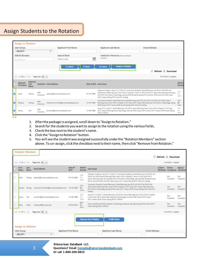## Assign Students to the Rotation

|   | <b>Assign to Rotation</b>        |                                  |                   |                                  |                                             |                |            |                                                                                                                                                                                                                                                                                                                                                                                     |                           |
|---|----------------------------------|----------------------------------|-------------------|----------------------------------|---------------------------------------------|----------------|------------|-------------------------------------------------------------------------------------------------------------------------------------------------------------------------------------------------------------------------------------------------------------------------------------------------------------------------------------------------------------------------------------|---------------------------|
|   | <b>User Group:</b><br>--SELECT-- |                                  |                   | $\overline{\mathbf{v}}$          | <b>Applicant First Name:</b>                |                |            | <b>Email Address:</b><br><b>Applicant Last Name:</b>                                                                                                                                                                                                                                                                                                                                |                           |
|   | SSN/ID Number:<br>----           |                                  |                   |                                  | Date of Birth:<br>Select a date<br>Q Search | <b>D</b> Reset | Ê          | Institution Hierarchy: Select Institution<br>Hierarchy<br>Assign to Rotation<br>Cancel                                                                                                                                                                                                                                                                                              |                           |
|   |                                  |                                  |                   |                                  |                                             |                |            | Refresh & Download                                                                                                                                                                                                                                                                                                                                                                  |                           |
|   | $4412$ $b$ $b$ $b$ $b$           |                                  | Page size: 50 -   |                                  |                                             |                |            | 94 Item(s) in 2 page(s)                                                                                                                                                                                                                                                                                                                                                             |                           |
|   | Applicant<br><b>First Name</b>   | <b>Applicant</b><br>Last<br>Name |                   | <b>Institution Email Address</b> |                                             |                |            | Date of Birth User Group                                                                                                                                                                                                                                                                                                                                                            | SSN/ID<br>Number          |
| ø | Jackie                           | Testing                          | ADB<br>University |                                  | jackiew@americandatabank.com                |                | 01/10/1986 | Childrens Hospital, class of 17, Cohort 1, Courtney's Students, David Afternoon, fall 2015, Fall 2016, Fall<br>2018, Gean's Morning Class, Glenn 2015, Hospital C, Janie 15, Jil's Class 2017, kaiser, Morning Class, Nursing<br>fall 2015, Port Arthur, Psychology, spring 2018, Spring Nursing 2015, Summer 2016, Summer CNA, Susan<br>2017, Susan Spring 2015, test 123, testing | $111 -$<br>$11 -$<br>1111 |
|   | Brittany                         | <b>Testing</b>                   | ADB<br>University |                                  | Iclemente+012345@americandatabank.com       |                | 12/13/1980 | Courtney's Students, David Afternoon, David Morning, day 2015, fall 2015, Fall 2016, Fall 2018, Gean's<br>Morning Class, Glenn 2015, Hospital C, Jill's Class 2017, kaiser, Morning Class, Port Arthur, Psychology, spring<br>2018, Susan 2017, Susan 2018, Susan Spring 2015, test123, testing                                                                                     | $222-$<br>88-<br>2222     |
| ø | Jessica                          | Test                             | ADB<br>University |                                  | imcwhirt@americandatabank.com               |                | 12/18/1988 | class of 17, Cohort 1, David Afternoon, fall 2015, Gean's Morning Class, Glenn 2015, Hospital C, Jill's Class<br>2017, kaiser, Morning Class, Psychology, Summer CNA, Susan 2015, Susan 2017, Susan 2018, Susan Spring<br>2015, UTM fall                                                                                                                                            | $111 -$<br>$11 -$<br>1111 |
|   |                                  |                                  |                   |                                  |                                             |                |            |                                                                                                                                                                                                                                                                                                                                                                                     |                           |

- 1. After the package is assigned, scroll down to "Assign to Rotation."
- 2. Search for the students you want to assign to the rotation using the various fields.
- 3. Check the box next to the student's name.
- 4. Click the "Assign to Rotation" button.
- 5. You will see the student was assigned successfully under the "Rotation Members" section above. To un-assign, click the checkbox next to their name, then click "Remove from Rotation."

|    | <b>Rotation Members</b>            |              |                                                                   |                       |                           | £.                                                                                                                                                                                                                                                                                                                                                                                   |                             | Refresh <b>Cownload</b>        |                  |
|----|------------------------------------|--------------|-------------------------------------------------------------------|-----------------------|---------------------------|--------------------------------------------------------------------------------------------------------------------------------------------------------------------------------------------------------------------------------------------------------------------------------------------------------------------------------------------------------------------------------------|-----------------------------|--------------------------------|------------------|
|    | $ d d  =  d d  =  b  b  -  b  b  $ |              | Page size: 50 -                                                   |                       |                           |                                                                                                                                                                                                                                                                                                                                                                                      |                             | 4 Ibern(s) in 1 page(s)        |                  |
|    | First<br>Name                      | Last<br>Name | <b>Email Address</b>                                              | Date Of<br>Birth      | <b>SSN/ID</b><br>Number   | User Group                                                                                                                                                                                                                                                                                                                                                                           | Eustom<br><b>Attributes</b> | School<br>Compliance Complianc | Agency           |
| ā  | <b>Incisie</b>                     |              | Testing jackiew@americandatabank.com                              | 01/10/1986            | $111 -$<br>$15 -$<br>1111 | Childrens Hospital, class of 17, Cohort 1, Courtney's Students, David Afternoon, fall 2015, Fall<br>2016, Fall 2018, Gear's Morning Class, Glenn 2015, Hospital C, Janie 15, Jill's Class 2017,<br>kaiser, Morning Class, Nursing fall 2015, Port Arthur, Psychology, spring 2018, Spring Nursing<br>2015, Summer 2016, Summer CNA, Susan 2017, Susan Spring 2015, test 123, testing |                             | Not<br>Compliant               | Not<br>Compliant |
| ٣b |                                    |              | Inittany Testing Iclemente+012345@americandatabank.com 12/13/1980 |                       | $222 -$<br>88-<br>2222    | Courtney's Students, David Afternoon, David Morning, day 2015, fall 2015, Fall 2016, Fall<br>2018, Gear's Morning Class, Glenn 2015, Hospital C, Jill's Class 2017, kaiser, Morning Class,<br>Port Arthur, Psychology, spring 2018, Susan 2017, Susan 2018, Susan Spring 2015, test123,<br>testing                                                                                   |                             | Not<br>Compliant               | Not<br>Compliant |
| ō  | essica                             | Test         | imciwhirt@americandatabank.com                                    | 12/18/1988            | $111 -$<br>$11 -$<br>1111 | class of 17, Cohort 1, David Afternoon, fall 2015, Gean's Moming Class, Genn 2015, Hospital<br>C. Jill's Class 2017, kaiser, Morning Class, Psychology, Summer CNA, Susan 2015, Susan<br>2017, Susan 2018, Susan Spring 2015, UTM fall                                                                                                                                               |                             | Not:<br>Corroliant             | Not<br>Compliant |
|    | <b>Javid</b>                       | Tester       | hmdaverf@comcast.net                                              | 07/04/1976            | BB7-<br>66<br>0077        | Class of 2020, Fall 2016, Hospital C. Psychology, Renewal. Spring Nursing 2015, Susan 2017,<br>Susan Spring 2015, UTM fall                                                                                                                                                                                                                                                           |                             | Not:<br>Compliant              | Not<br>Compliant |
|    | 64 44110 bb                        |              | Page size: 50 -                                                   |                       |                           |                                                                                                                                                                                                                                                                                                                                                                                      |                             | 4 Ibamis) in 1 page(s)         |                  |
|    | Assign to Rotation                 |              |                                                                   |                       |                           | Remove from Rotation<br>Profile Share                                                                                                                                                                                                                                                                                                                                                |                             |                                |                  |
|    | User Group:                        |              |                                                                   | Applicant First Name: |                           | Email Address:<br>Applicant Last Name:                                                                                                                                                                                                                                                                                                                                               |                             |                                |                  |
|    | -SELECT-                           |              | ٠                                                                 |                       |                           |                                                                                                                                                                                                                                                                                                                                                                                      |                             |                                |                  |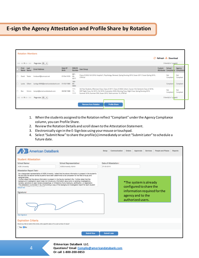#### **E-sign the Agency Attestation and Profile Share by Rotation**

| <b>Rotation Members</b>   |                   |                                             |                  |                           |                                                                                                                                                                                                                                                                                              |                    |                        |                                            |  |
|---------------------------|-------------------|---------------------------------------------|------------------|---------------------------|----------------------------------------------------------------------------------------------------------------------------------------------------------------------------------------------------------------------------------------------------------------------------------------------|--------------------|------------------------|--------------------------------------------|--|
|                           |                   |                                             |                  |                           | s                                                                                                                                                                                                                                                                                            | Refresh & Download |                        |                                            |  |
| $ 44 - 44 $ 1 $ + + + + $ |                   | Page size: 50 -                             |                  |                           |                                                                                                                                                                                                                                                                                              |                    | 3 Item(s) in 1 page(s) |                                            |  |
| First<br>Name             | Last<br>Name      | <b>Email Address</b>                        | Date Of<br>Birth | <b>SSN/ID</b><br>Number   | <b>User Group</b>                                                                                                                                                                                                                                                                            | Custom             | School                 | Agency<br>Attributes Compliance Compliance |  |
| David                     | Tester            | hmdaverf@comcast.net                        | 07/04/1976       | 887-<br>66-<br>0077       | Class of 2020, Fall 2016, Hospital C, Psychology, Renewal, Spring Nursing 2015, Susan 2017, Susan Spring 2015,<br>UTM fall                                                                                                                                                                   |                    | Not<br>Compliant       | Not<br>Compliant                           |  |
| Lynda                     | Gilbert           | lyndag+9999@americandatabank.com 01/02/1980 |                  | 789-<br>$80-$<br>9890     |                                                                                                                                                                                                                                                                                              |                    | Compliant              | Compliant                                  |  |
| Ben                       |                   | Grimm temple@americandatabank.com           | 08/08/1988       | $111 -$<br>$11 -$<br>1111 | 3rd Year Students, Afternoon Class, Class of 2017, Class of 2020, Cohort, Course 123, Dariene's Class of 2016,<br>EMT Night Class, fall 2015, Fall 2016, Graduation 2020, Morning Class, Night Class, Spring Nursing 2015,<br>Summer 2016, Summer CNA, Susan 2015, Toshi summer 15, UTM fall |                    | Not<br>Compliant       | Not<br>Compliant                           |  |
|                           | $ 44 - 44 $ DE DE | Page size: 50 -                             |                  |                           |                                                                                                                                                                                                                                                                                              |                    | 3 Item(s) in 1 page(s) |                                            |  |
|                           |                   |                                             |                  |                           | <b>Remove from Rotation</b><br><b>Profile Share</b>                                                                                                                                                                                                                                          |                    |                        |                                            |  |

- 1. When the students assigned to the Rotation reflect "Compliant" under the Agency Compliance column, you can Profile Share.
- 2. Review the Rotation Details and scroll down to the Attestation Statement.
- 3. Electronically sign in the E-Sign box using your mouse or touchpad.
- 4. Select "Submit Now" to share the profile(s) immediately or select "Submit Later" to schedule a future date.

| <b>American DataBank</b>                                                                                                                                                                                                                                                                                                                                                                                                                                                                                                                                                                                                                                                 |                                                                                                                                                                                                                                                                                        | Setup                              | Communication Orders Approvals Services People and Places Reports                                                           |  |
|--------------------------------------------------------------------------------------------------------------------------------------------------------------------------------------------------------------------------------------------------------------------------------------------------------------------------------------------------------------------------------------------------------------------------------------------------------------------------------------------------------------------------------------------------------------------------------------------------------------------------------------------------------------------------|----------------------------------------------------------------------------------------------------------------------------------------------------------------------------------------------------------------------------------------------------------------------------------------|------------------------------------|-----------------------------------------------------------------------------------------------------------------------------|--|
| <b>Student Attestation</b><br>School Namer<br>ADB University<br>Attestation Report Text-<br>file and that the above named students have been determined to be competent for the field of study and<br>assigned area.<br>I further attest that the above information is present in the faculty member's file. I further attest that the<br>background investigation report does not include any information about prior or pending investigations.<br>reviews, sanctions or peer review proceedings; or limitations of any licensure, certification, or registration.<br>and face to detail accept an Manufacture<br><b>Default Text</b><br>Signature:<br>Clear Signature | School Representative:<br>ADBUniversity Admin<br>As a designated representative of ADB University, I attest that the above information is present in the student's<br>This attestation is provided in lieu of providing a copy of the background investigation report for each student | Date of Attestation:<br>07-20-2016 | *The system is already<br>configured to share the<br>information required for the<br>agency and to the<br>authorized users. |  |
| <b>Expiration Criteria</b><br>Would you like to restrict this invite until a specific date or for a set number of views?<br>Wes <b>ONo</b>                                                                                                                                                                                                                                                                                                                                                                                                                                                                                                                               |                                                                                                                                                                                                                                                                                        |                                    |                                                                                                                             |  |
|                                                                                                                                                                                                                                                                                                                                                                                                                                                                                                                                                                                                                                                                          | <b>Submit Now</b>                                                                                                                                                                                                                                                                      | <b>Submit Later</b>                |                                                                                                                             |  |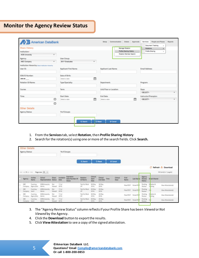#### **Monitor the Agency Review Status**

| American DataBank                                   |                                            | Setup Communication Orders Approvals              | <b>People and Places</b><br>Services<br>Reports |
|-----------------------------------------------------|--------------------------------------------|---------------------------------------------------|-------------------------------------------------|
| <b>Share History</b>                                |                                            |                                                   | <b>Document Tracking</b><br>×                   |
|                                                     |                                            | <b>Manage Rotation</b><br>Profile Sharing History | Rotations<br>٠<br>Profile Sharing               |
| Institution:<br>÷                                   |                                            | Rotation Member Search                            | h.                                              |
| <b>ADB University</b>                               |                                            |                                                   |                                                 |
| <b>Agency:</b>                                      | <b>User Group:</b>                         |                                                   |                                                 |
| <b>ABC Company</b><br>$\overline{\phantom{a}}$      | 2017 Graduates<br>$\overline{\phantom{a}}$ |                                                   |                                                 |
| Institution Hierarchy: Select Institution Hierarchy |                                            |                                                   |                                                 |
| User ID:                                            | <b>Applicant First Name:</b>               | <b>Applicant Last Name:</b>                       | <b>Email Address:</b>                           |
| SSN/ID Number:                                      | Date of Birth:                             |                                                   |                                                 |
| 808-80-                                             | 曲<br>Select a date                         |                                                   |                                                 |
| Rotation ID/Name:                                   | Type/Specialty:                            | Department:                                       | Program:                                        |
| Course:                                             | <b>Term:</b>                               | Unit/Floor or Location:                           | Days:                                           |
|                                                     |                                            |                                                   | -- SELECT-<br>÷                                 |
| Time:                                               | <b>Start Date:</b>                         | <b>End Date:</b>                                  | Instructor/Preceptor:                           |
| O                                                   | 篇<br>Select a date                         | 曲<br>Select a date                                | -- SELECT-<br>$\overline{\phantom{a}}$          |
| $\odot$                                             |                                            |                                                   |                                                 |
| <b>Other Details</b>                                |                                            |                                                   |                                                 |
| <b>Agency Status:</b>                               | '# of Groups:                              |                                                   |                                                 |
|                                                     | Q Search                                   | <b>D</b> Reset<br>© Cancel                        |                                                 |

- 1. From the **Services**tab, select **Rotation**, then **Profile Sharing History**
- 2. Search for the rotation(s) using one or more of the search fields. Click **Search.**

| <b>Other Details</b><br>Agency Status: |                |                        |                                 | '# of Groups:          |                    |                                              |                            |                           |                             |      |                         |               |                   |                             |                        |                      |
|----------------------------------------|----------------|------------------------|---------------------------------|------------------------|--------------------|----------------------------------------------|----------------------------|---------------------------|-----------------------------|------|-------------------------|---------------|-------------------|-----------------------------|------------------------|----------------------|
|                                        |                |                        |                                 |                        |                    |                                              | Q Search                   |                           | <b>O</b> Reset              |      | <b>Ø Cancel</b>         |               |                   |                             |                        |                      |
|                                        |                |                        |                                 |                        |                    |                                              |                            |                           |                             |      |                         |               |                   |                             |                        | Refresh Cownload     |
|                                        | 44 44.110 bp.  |                        | Page size $50 - 7$              |                        |                    |                                              |                            |                           |                             |      |                         |               |                   |                             |                        | 36 Hambû in 1 pagebi |
|                                        | Agency         | Invitee<br>Name        | <b>School</b><br>Representative | Share<br><b>Status</b> | Invitation<br>Date | Expiration<br>Date/Number Of<br><b>Views</b> | Rotation<br>ID/Name        | Clinical<br>Start<br>Date | Clinical<br><b>End Date</b> | Time | <b>Clinical</b><br>Days | First<br>Name | <b>Last Nan e</b> | Agency.<br>Review<br>Status | Dr sail Shared         |                      |
|                                        | ABC<br>Company | Courtney<br>AgencyTest | ADBUniversity<br>Admin          | Not<br>Viewed          | 111u<br>2016       |                                              | Test for Mock<br><b>UP</b> | 09 May<br>2016            | 26 May<br>2016              |      |                         | PeterTEST     | ParkerTEST        | Pending:<br>Review          | Relation &<br>To ching | View AttestationIs)  |
|                                        | ABC<br>Company | Courtney<br>test2      | ADBUniversity<br>Admin          | Not<br>Viewed          | 11.6/<br>2016      |                                              | Test for Mock<br>UP.       | 09 May<br>2016            | 26 May<br>2016              |      |                         | PeterTEST     | ParkerTEST        | Pending:<br>Review          |                        | View Attestation(s)  |
|                                        | ABC<br>Company | Courtney<br>AgencyTest | ADBUniversity<br>Admin          | Not<br>Viewed          | 153aT<br>2016      |                                              | Test for Mock<br>UP        | 09 May<br>2016            | 26 May<br>2016              |      |                         | PeterTEST     | ParkerTEST        | Pending.<br>Review          | Retation &<br>To cking | View AttestationEd   |
|                                        |                | Courtney               | ADIMiniversity                  | Not                    | 1134               |                                              | Test for Mock              | 09 May                    | 26 May                      |      |                         | PeterTEST     | ParkerTET         | Pending                     |                        | View Attestation(s)  |

- 3. The "Agency Review Status" column reflects if your Profile Share has been *Viewed* or *Not Viewed* by the Agency.
- 4. Click the **Download** button to export the results.
- 5. Click **View Attestation** to see a copy of the signed attestation.

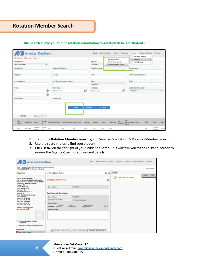#### **Rotation Member Search**

#### **This search allows you to find rotation information by rotation details or students.**

| <b>American DataBank</b>                                                             |                                            |                |                  | Setup Communication Orders Approvals    |                          | Services                | People and Places           | Reports                  |                          |
|--------------------------------------------------------------------------------------|--------------------------------------------|----------------|------------------|-----------------------------------------|--------------------------|-------------------------|-----------------------------|--------------------------|--------------------------|
| <b>Rotation Member Search</b>                                                        |                                            |                |                  | Manage Rotation                         |                          | <b>Rotations</b>        | Document Tracking<br>r<br>٠ |                          |                          |
| Institution:                                                                         |                                            |                | Agency:          | Profile Sharing History                 |                          | Profile Sharing         | ٠                           |                          |                          |
| $\overline{\phantom{a}}$<br><b>ADB University</b>                                    |                                            |                | -- SELECT-       | Rotation Member Search                  |                          |                         |                             |                          |                          |
| Complio ID:                                                                          | Rotation ID/Name:                          |                | Type/Specialty:  |                                         |                          | Department:             |                             |                          |                          |
| Program:                                                                             | Course:                                    |                | Term:            |                                         |                          | Unit/Floor or Location: |                             |                          |                          |
| # of Students:                                                                       | # of Recommended Hours:                    |                | Days:            |                                         |                          | Shift                   |                             |                          |                          |
|                                                                                      |                                            |                | -- SELECT-       |                                         | $\overline{\phantom{a}}$ |                         |                             |                          |                          |
| <b>Time:</b>                                                                         | Start Date:                                |                | <b>End Date:</b> |                                         |                          | Instructor/Preceptor:   |                             |                          |                          |
| O                                                                                    | Select a date                              | 僧              | Select a date    |                                         | 曲                        | -SELECT-                |                             |                          | $\overline{\phantom{a}}$ |
| $\odot$                                                                              |                                            |                |                  |                                         |                          |                         |                             |                          |                          |
| First Name:                                                                          | Last Name:                                 |                |                  |                                         |                          |                         |                             |                          |                          |
|                                                                                      | Q Search                                   | <b>D</b> Reset | @ Cancel         |                                         |                          |                         |                             |                          |                          |
| Page size: 50 -<br>$ 44 - 44$ 123456 $ {\cdot}{{\cdot}}{\cdot} $ $ {\cdot} {\cdot} $ |                                            |                |                  |                                         |                          |                         |                             |                          |                          |
| First<br>Complia<br>Last Name Agency<br>ID.<br>Name                                  | Rotation ID/Name Type/Specialty Department | Program        | Course<br>Term   | $#$ of<br>Unit/Floor<br><b>Students</b> | # of<br>Hours            | Recommended Days        | Shift                       | Time                     | Start I                  |
| RT-40-<br>Children's<br>McCusker<br>Mary<br>best<br>20<br>Hespital                   | best<br>best                               | best           | best<br>test     | best                                    | 12                       |                         | best                        | 2:00AM-<br><b>4-00AM</b> | 12/23                    |

- 1. To run the **Rotation Member Search**, go to: Services > Rotations > Rotation Member Search
- 2. Use the search fields to find your student.
- 3. Click **Detail** on the far right of your student's name. This will take you to the Tri-Panel Screen to review the Agency-Specific requirement details.

| <b>American DataBank</b>                                                                                                                                              |                                                                                        |                                               |         | Setup Communication Orders Approvals Services People and Places Reports |                       |
|-----------------------------------------------------------------------------------------------------------------------------------------------------------------------|----------------------------------------------------------------------------------------|-----------------------------------------------|---------|-------------------------------------------------------------------------|-----------------------|
| Home . Manage Rotation Member Search . Verification Details<br><b>Requirement Verification Details</b>                                                                |                                                                                        |                                               |         |                                                                         | <b>Back to Queues</b> |
| <b>Leigh Test</b>                                                                                                                                                     | <b>Patient Safety Module</b>                                                           |                                               | 66      | <b>UnDock</b>                                                           | Rotida<br>Reload      |
| <b>School: ADB University</b><br>Agency: American DataBank Hospital<br>Rotation (D/Name: Ohlione Spring RN 117)<br><b>Department: Medical/Surgical</b><br>Program: RN | <b>Category Information</b>                                                            |                                               | 0       | Document Not found.<br>ω                                                |                       |
| Course: NUR-305<br>Term: Spring 2016                                                                                                                                  | Current Status:                                                                        | <b>Incomplete</b>                             |         |                                                                         |                       |
| UnitFloor: SE<br>Recommended Hours: 15<br>Students: 5<br>Days: Monday, Wednesday                                                                                      | <b>Certificate of Completion</b>                                                       |                                               |         |                                                                         |                       |
| Shift Morning<br>Start Time: 07:00 AM                                                                                                                                 | Current Status:                                                                        | incomplete                                    |         |                                                                         |                       |
| End Time: 06:30 PM<br>Start Date: 2/14/2016                                                                                                                           | Certificate of Completion:                                                             | No Document uploaded                          |         |                                                                         |                       |
| End Date: 4/1/2016<br>Complio ID: RT-40-28<br>Rotation Compliance Status:<br><b>Not Compliant @</b>                                                                   | Change Blatus:<br>Pending<br>Monte<br>Incomplete<br>Review<br><b>Rejection Reason:</b> | Dows Not Meet<br>Requirements<br>Requirements | Expired |                                                                         |                       |
|                                                                                                                                                                       |                                                                                        |                                               |         |                                                                         |                       |
| - American DataBank Hospital<br>Crientation                                                                                                                           |                                                                                        |                                               |         |                                                                         |                       |
| La Idemente+123@americandatabank.com                                                                                                                                  |                                                                                        |                                               |         |                                                                         |                       |
| Categories                                                                                                                                                            | Save all and Return to Queue   No Save all and Next                                    | X Cancel and Return to Queue                  |         |                                                                         |                       |
| Patient Safety Module                                                                                                                                                 |                                                                                        |                                               |         |                                                                         |                       |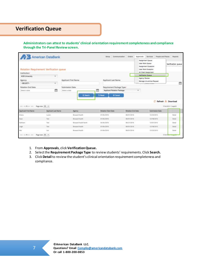#### **Verification Queue**

**Administrators can attest to students' clinical orientation requirement completeness and compliance through the Tri-Panel Review screen.** 

|                                | <b>American DataBank</b>                |                       |                      |                             | Sebus               | Communication                          | Orders                                                                               | Approvals          | Services                                                                                                                   |                        | People and Places Reports                       |
|--------------------------------|-----------------------------------------|-----------------------|----------------------|-----------------------------|---------------------|----------------------------------------|--------------------------------------------------------------------------------------|--------------------|----------------------------------------------------------------------------------------------------------------------------|------------------------|-------------------------------------------------|
|                                | Rotation Requirement Verification queue |                       |                      |                             |                     |                                        |                                                                                      |                    | Assignment Queue<br><b>Liser Work Queue</b><br>Assignment Exception<br><b>User Work Exception</b><br>All Client Assignment |                        | Verification queue<br>ement Vertrushini sisisse |
| Institution:<br>ADB University | $\overline{\phantom{a}}$                |                       |                      |                             |                     |                                        |                                                                                      | Verification Queue |                                                                                                                            |                        |                                                 |
| Agency:<br>$-$ SELECT $-$      | ٠                                       | Applicant First Name: |                      | <b>Applicant Last Name:</b> |                     |                                        | Agency Review<br>Manage Un-archive Request<br><b><i>CHAPPERS OF THE TIGHT OF</i></b> |                    |                                                                                                                            | Ë                      |                                                 |
| Rotation End Date:             |                                         | Submission Date:      |                      |                             |                     | Requirement Package Type:              |                                                                                      |                    |                                                                                                                            |                        |                                                 |
| Seiect a data                  | 曲                                       | Select a date         | Q Search             | m<br><sup>2</sup> Reset     |                     | Applicant Rotation Package<br>@ Cancel |                                                                                      | ٠                  |                                                                                                                            |                        |                                                 |
|                                |                                         |                       |                      |                             |                     |                                        |                                                                                      |                    |                                                                                                                            |                        | Refresh Download                                |
| 104 44110 http:                | Page size 50 +                          |                       |                      |                             |                     |                                        |                                                                                      |                    |                                                                                                                            |                        | 5 /terrils) in 1 page(s)                        |
| <b>Applicant First Name</b>    | <b>Applicant Last Name</b>              |                       | Agency               |                             | Rotation Start Date |                                        | Rotation End Date                                                                    |                    |                                                                                                                            | <b>Submission Date</b> |                                                 |
| Arlana                         | Lucero                                  |                       | Broward Health       |                             | 01/04/2016          |                                        | 06/01/2016                                                                           |                    | 12/23/2015                                                                                                                 |                        | Detail                                          |
| Gean                           | Test                                    |                       | Broward Health       |                             | 01/04/2016          |                                        | 06/01/2016                                                                           |                    | 12/18/2015                                                                                                                 |                        | Detail                                          |
| Kathleen                       | Text                                    |                       | Broward Health North |                             | 06/06/2016          |                                        | 06/27/2016                                                                           |                    | 12/07/2015                                                                                                                 |                        | Detail                                          |
| Leigh                          | Test.                                   |                       | Broward Health       |                             | 01/04/2016          |                                        | 06/01/2016                                                                           |                    | 12/18/2015                                                                                                                 |                        | Detail                                          |
| Mai                            | Link                                    |                       | Broward Health       |                             | 01/04/2016          |                                        | 06/01/2016                                                                           |                    | 12/23/2015                                                                                                                 |                        | Detail                                          |
| idd dd the bic                 | Page size 50 -                          |                       |                      |                             |                     |                                        |                                                                                      |                    |                                                                                                                            |                        | 5 limited to 1 page of                          |

- 1. From **Approvals**, click **Verification Queue.**
- 2. Select the **Requirement Package Type** to review students' requirements. Click **Search.**
- 3. Click **Detail**to review the student's clinical orientation requirement completeness and compliance.